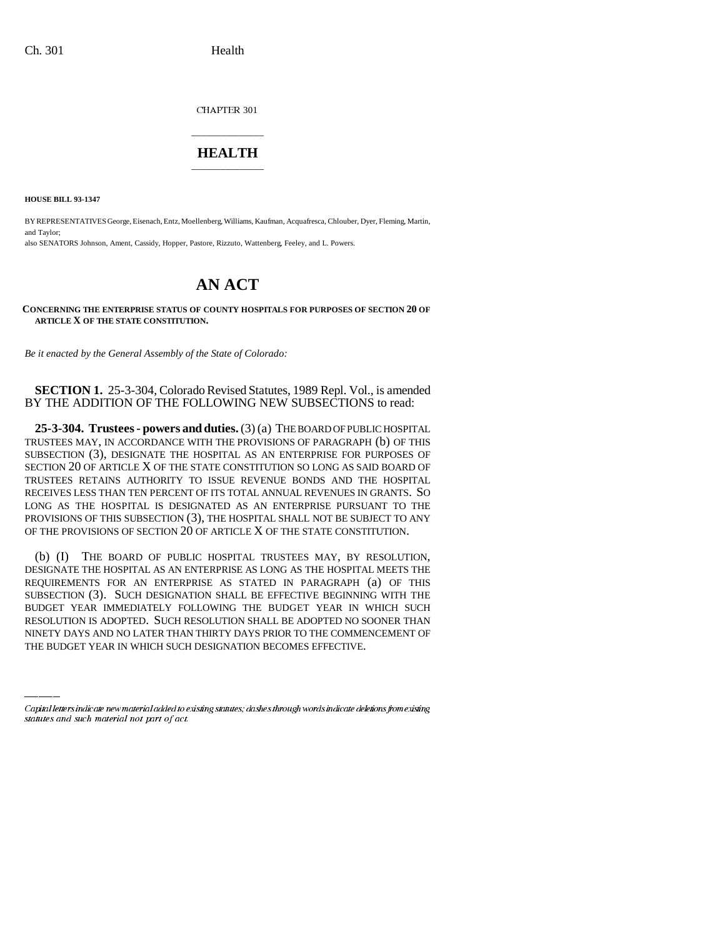CHAPTER 301

## \_\_\_\_\_\_\_\_\_\_\_\_\_\_\_ **HEALTH** \_\_\_\_\_\_\_\_\_\_\_\_\_\_\_

**HOUSE BILL 93-1347**

BY REPRESENTATIVES George, Eisenach, Entz, Moellenberg, Williams, Kaufman, Acquafresca, Chlouber, Dyer, Fleming, Martin, and Taylor; also SENATORS Johnson, Ament, Cassidy, Hopper, Pastore, Rizzuto, Wattenberg, Feeley, and L. Powers.

## **AN ACT**

**CONCERNING THE ENTERPRISE STATUS OF COUNTY HOSPITALS FOR PURPOSES OF SECTION 20 OF ARTICLE X OF THE STATE CONSTITUTION.**

*Be it enacted by the General Assembly of the State of Colorado:*

**SECTION 1.** 25-3-304, Colorado Revised Statutes, 1989 Repl. Vol., is amended BY THE ADDITION OF THE FOLLOWING NEW SUBSECTIONS to read:

**25-3-304. Trustees - powers and duties.** (3) (a) THE BOARD OF PUBLIC HOSPITAL TRUSTEES MAY, IN ACCORDANCE WITH THE PROVISIONS OF PARAGRAPH (b) OF THIS SUBSECTION (3), DESIGNATE THE HOSPITAL AS AN ENTERPRISE FOR PURPOSES OF SECTION 20 OF ARTICLE X OF THE STATE CONSTITUTION SO LONG AS SAID BOARD OF TRUSTEES RETAINS AUTHORITY TO ISSUE REVENUE BONDS AND THE HOSPITAL RECEIVES LESS THAN TEN PERCENT OF ITS TOTAL ANNUAL REVENUES IN GRANTS. SO LONG AS THE HOSPITAL IS DESIGNATED AS AN ENTERPRISE PURSUANT TO THE PROVISIONS OF THIS SUBSECTION (3), THE HOSPITAL SHALL NOT BE SUBJECT TO ANY OF THE PROVISIONS OF SECTION 20 OF ARTICLE X OF THE STATE CONSTITUTION.

BUDGET YEAR IMMEDIATELY FOLLOWING THE BUDGET YEAR IN WHICH SUCH (b) (I) THE BOARD OF PUBLIC HOSPITAL TRUSTEES MAY, BY RESOLUTION, DESIGNATE THE HOSPITAL AS AN ENTERPRISE AS LONG AS THE HOSPITAL MEETS THE REQUIREMENTS FOR AN ENTERPRISE AS STATED IN PARAGRAPH (a) OF THIS SUBSECTION (3). SUCH DESIGNATION SHALL BE EFFECTIVE BEGINNING WITH THE RESOLUTION IS ADOPTED. SUCH RESOLUTION SHALL BE ADOPTED NO SOONER THAN NINETY DAYS AND NO LATER THAN THIRTY DAYS PRIOR TO THE COMMENCEMENT OF THE BUDGET YEAR IN WHICH SUCH DESIGNATION BECOMES EFFECTIVE.

Capital letters indicate new material added to existing statutes; dashes through words indicate deletions from existing statutes and such material not part of act.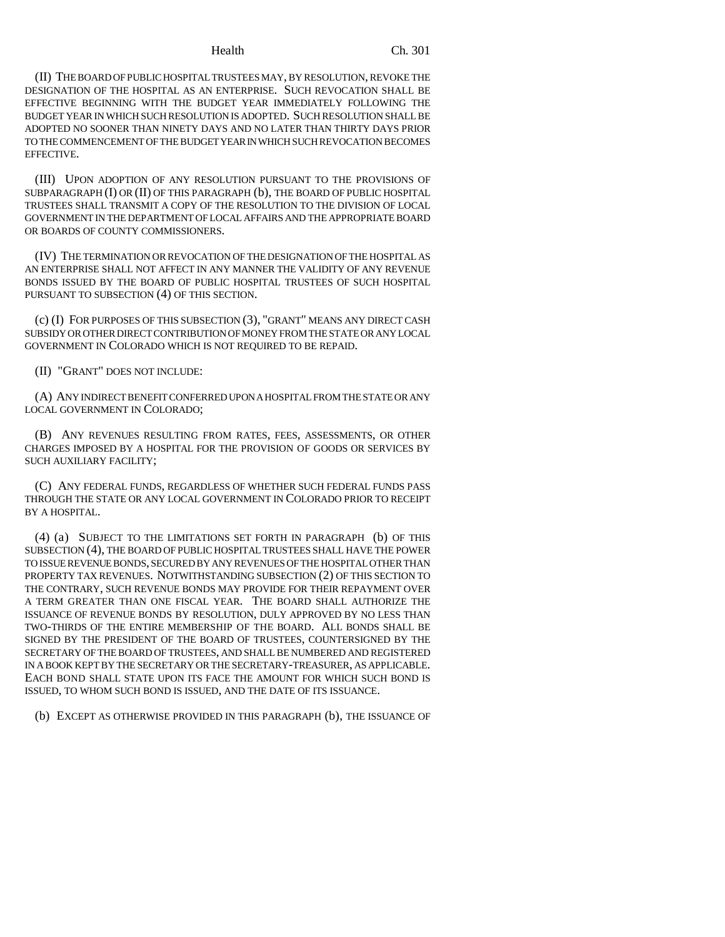(II) THE BOARD OF PUBLIC HOSPITAL TRUSTEES MAY, BY RESOLUTION, REVOKE THE DESIGNATION OF THE HOSPITAL AS AN ENTERPRISE. SUCH REVOCATION SHALL BE EFFECTIVE BEGINNING WITH THE BUDGET YEAR IMMEDIATELY FOLLOWING THE BUDGET YEAR IN WHICH SUCH RESOLUTION IS ADOPTED. SUCH RESOLUTION SHALL BE ADOPTED NO SOONER THAN NINETY DAYS AND NO LATER THAN THIRTY DAYS PRIOR TO THE COMMENCEMENT OF THE BUDGET YEAR IN WHICH SUCH REVOCATION BECOMES EFFECTIVE.

(III) UPON ADOPTION OF ANY RESOLUTION PURSUANT TO THE PROVISIONS OF SUBPARAGRAPH (I) OR (II) OF THIS PARAGRAPH (b), THE BOARD OF PUBLIC HOSPITAL TRUSTEES SHALL TRANSMIT A COPY OF THE RESOLUTION TO THE DIVISION OF LOCAL GOVERNMENT IN THE DEPARTMENT OF LOCAL AFFAIRS AND THE APPROPRIATE BOARD OR BOARDS OF COUNTY COMMISSIONERS.

(IV) THE TERMINATION OR REVOCATION OF THE DESIGNATION OF THE HOSPITAL AS AN ENTERPRISE SHALL NOT AFFECT IN ANY MANNER THE VALIDITY OF ANY REVENUE BONDS ISSUED BY THE BOARD OF PUBLIC HOSPITAL TRUSTEES OF SUCH HOSPITAL PURSUANT TO SUBSECTION (4) OF THIS SECTION.

(c) (I) FOR PURPOSES OF THIS SUBSECTION (3), "GRANT" MEANS ANY DIRECT CASH SUBSIDY OR OTHER DIRECT CONTRIBUTION OF MONEY FROM THE STATE OR ANY LOCAL GOVERNMENT IN COLORADO WHICH IS NOT REQUIRED TO BE REPAID.

(II) "GRANT" DOES NOT INCLUDE:

(A) ANY INDIRECT BENEFIT CONFERRED UPON A HOSPITAL FROM THE STATE OR ANY LOCAL GOVERNMENT IN COLORADO;

(B) ANY REVENUES RESULTING FROM RATES, FEES, ASSESSMENTS, OR OTHER CHARGES IMPOSED BY A HOSPITAL FOR THE PROVISION OF GOODS OR SERVICES BY SUCH AUXILIARY FACILITY;

(C) ANY FEDERAL FUNDS, REGARDLESS OF WHETHER SUCH FEDERAL FUNDS PASS THROUGH THE STATE OR ANY LOCAL GOVERNMENT IN COLORADO PRIOR TO RECEIPT BY A HOSPITAL.

(4) (a) SUBJECT TO THE LIMITATIONS SET FORTH IN PARAGRAPH (b) OF THIS SUBSECTION (4), THE BOARD OF PUBLIC HOSPITAL TRUSTEES SHALL HAVE THE POWER TO ISSUE REVENUE BONDS, SECURED BY ANY REVENUES OF THE HOSPITAL OTHER THAN PROPERTY TAX REVENUES. NOTWITHSTANDING SUBSECTION (2) OF THIS SECTION TO THE CONTRARY, SUCH REVENUE BONDS MAY PROVIDE FOR THEIR REPAYMENT OVER A TERM GREATER THAN ONE FISCAL YEAR. THE BOARD SHALL AUTHORIZE THE ISSUANCE OF REVENUE BONDS BY RESOLUTION, DULY APPROVED BY NO LESS THAN TWO-THIRDS OF THE ENTIRE MEMBERSHIP OF THE BOARD. ALL BONDS SHALL BE SIGNED BY THE PRESIDENT OF THE BOARD OF TRUSTEES, COUNTERSIGNED BY THE SECRETARY OF THE BOARD OF TRUSTEES, AND SHALL BE NUMBERED AND REGISTERED IN A BOOK KEPT BY THE SECRETARY OR THE SECRETARY-TREASURER, AS APPLICABLE. EACH BOND SHALL STATE UPON ITS FACE THE AMOUNT FOR WHICH SUCH BOND IS ISSUED, TO WHOM SUCH BOND IS ISSUED, AND THE DATE OF ITS ISSUANCE.

(b) EXCEPT AS OTHERWISE PROVIDED IN THIS PARAGRAPH (b), THE ISSUANCE OF